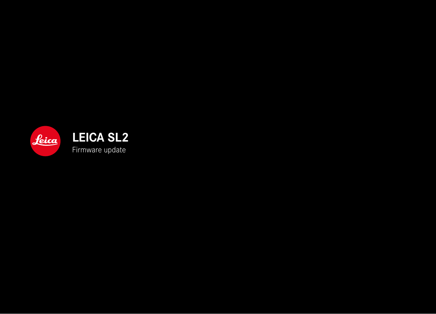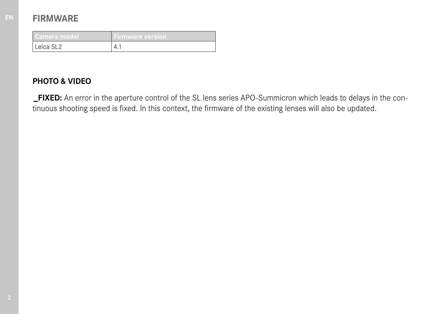# **FIRMWARE**

| /Camera model.        | Firmware version |
|-----------------------|------------------|
| Leica SL <sub>2</sub> |                  |

# **PHOTO & VIDEO**

**\_FIXED:** An error in the aperture control of the SL lens series APO-Summicron which leads to delays in the continuous shooting speed is fixed. In this context, the firmware of the existing lenses will also be updated.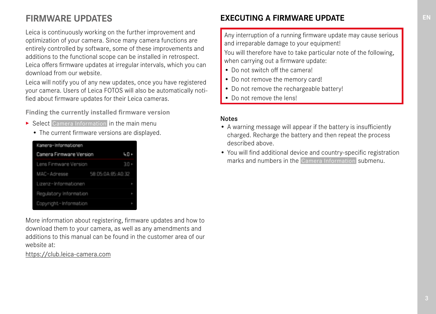# **FIRMWARE UPDATES**

Leica is continuously working on the further improvement and optimization of your camera. Since many camera functions are entirely controlled by software, some of these improvements and additions to the functional scope can be installed in retrospect. Leica offers firmware updates at irregular intervals, which you can download from our website.

Leica will notify you of any new updates, once you have registered your camera. Users of Leica FOTOS will also be automatically notified about firmware updates for their Leica cameras.

**Finding the currently installed firmware version**

- ▶ Select Camera Information in the main menu
	- The current firmware versions are displayed.

| Kamera-Informationen    |                   |   |
|-------------------------|-------------------|---|
| Camera Firmware Version |                   |   |
| Lens Firmware Version   | $30+$             |   |
| MAC-Adresse             | 58:05:0A:85:A0:32 |   |
| Lizenz-Informationen    |                   |   |
| Regulatory Information  |                   | ٠ |
| Copyright-Information   |                   |   |

More information about registering, firmware updates and how to download them to your camera, as well as any amendments and additions to this manual can be found in the customer area of our website at:

https://club.leica-camera.com

## **EXECUTING A FIRMWARE UPDATE**

Any interruption of a running firmware update may cause serious and irreparable damage to your equipment!

You will therefore have to take particular note of the following, when carrying out a firmware update:

- Do not switch off the camera!
- Do not remove the memory card!
- Do not remove the rechargeable battery!
- Do not remove the lens!

#### Notes

- A warning message will appear if the battery is insufficiently charged. Recharge the battery and then repeat the process described above.
- You will find additional device and country-specific registration marks and numbers in the  Camera Information  submenu.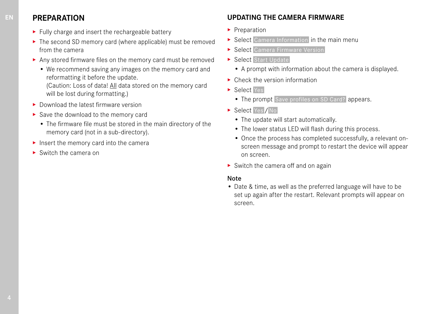## **PREPARATION**

- ▸ Fully charge and insert the rechargeable battery
- ▸ The second SD memory card (where applicable) must be removed from the camera
- ▸ Any stored firmware files on the memory card must be removed
	- We recommend saving any images on the memory card and reformatting it before the update.

(Caution: Loss of data! All data stored on the memory card will be lost during formatting.)

- ▸ Download the latest firmware version
- ▸ Save the download to the memory card
	- The firmware file must be stored in the main directory of the memory card (not in a sub-directory).
- ▸ Insert the memory card into the camera
- ▸ Switch the camera on

## **UPDATING THE CAMERA FIRMWARE**

- ▸ Preparation
- ▶ Select Camera Information in the main menu
- ▶ Select Camera Firmware Version
- ▶ Select Start Update
	- A prompt with information about the camera is displayed.
- ▶ Check the version information
- ▸ Select  Yes
	- The prompt Save profiles on SD Card? appears.
- ▶ Select Yes / No
	- The update will start automatically.
	- The lower status LED will flash during this process.
	- Once the process has completed successfully, a relevant onscreen message and prompt to restart the device will appear on screen.
- $\triangleright$  Switch the camera off and on again

#### Note

• Date & time, as well as the preferred language will have to be set up again after the restart. Relevant prompts will appear on screen.